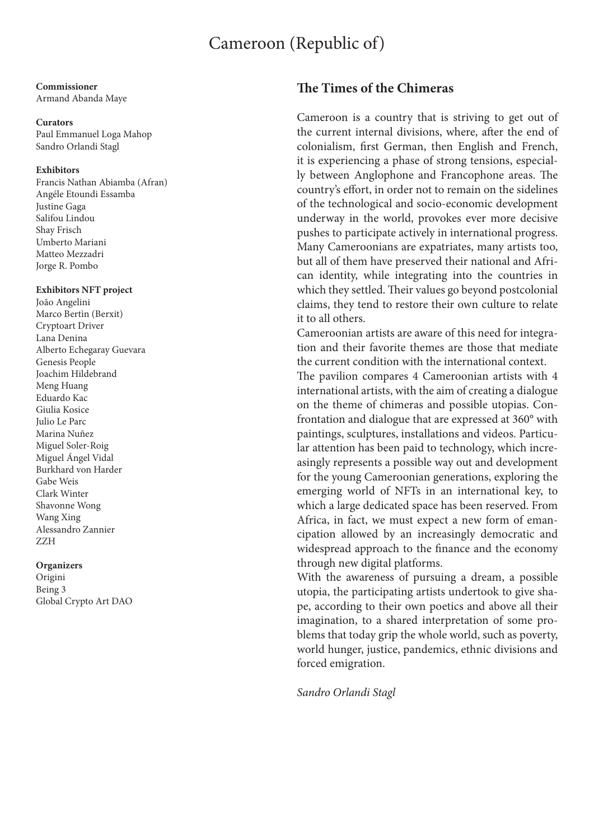# Cameroon (Republic of)

#### **Commissioner** Armand Abanda Maye

#### **Curators**

Paul Emmanuel Loga Mahop Sandro Orlandi Stagl

#### **Exhibitors**

Francis Nathan Abiamba (Afran) Angéle Etoundi Essamba Justine Gaga Salifou Lindou Shay Frisch Umberto Mariani Matteo Mezzadri Jorge R. Pombo

### **Exhibitors NFT project**

João Angelini Marco Bertìn (Berxit) Cryptoart Driver Lana Denina Alberto Echegaray Guevara Genesis People Joachim Hildebrand Meng Huang Eduardo Kac Giulia Kosice Julio Le Parc Marina Nuñez Miguel Soler-Roig Miguel Ángel Vidal Burkhard von Harder Gabe Weis Clark Winter Shavonne Wong Wang Xing Alessandro Zannier ZZH

## **Organizers**

Origini Being 3 Global Crypto Art DAO

## **The Times of the Chimeras**

Cameroon is a country that is striving to get out of the current internal divisions, where, after the end of colonialism, first German, then English and French, it is experiencing a phase of strong tensions, especially between Anglophone and Francophone areas. The country's effort, in order not to remain on the sidelines of the technological and socio-economic development underway in the world, provokes ever more decisive pushes to participate actively in international progress. Many Cameroonians are expatriates, many artists too, but all of them have preserved their national and African identity, while integrating into the countries in which they settled. Their values go beyond postcolonial claims, they tend to restore their own culture to relate it to all others.

Cameroonian artists are aware of this need for integration and their favorite themes are those that mediate the current condition with the international context.

The pavilion compares 4 Cameroonian artists with 4 international artists, with the aim of creating a dialogue on the theme of chimeras and possible utopias. Confrontation and dialogue that are expressed at 360° with paintings, sculptures, installations and videos. Particular attention has been paid to technology, which increasingly represents a possible way out and development for the young Cameroonian generations, exploring the emerging world of NFTs in an international key, to which a large dedicated space has been reserved. From Africa, in fact, we must expect a new form of emancipation allowed by an increasingly democratic and widespread approach to the finance and the economy through new digital platforms.

With the awareness of pursuing a dream, a possible utopia, the participating artists undertook to give shape, according to their own poetics and above all their imagination, to a shared interpretation of some problems that today grip the whole world, such as poverty, world hunger, justice, pandemics, ethnic divisions and forced emigration.

*Sandro Orlandi Stagl*